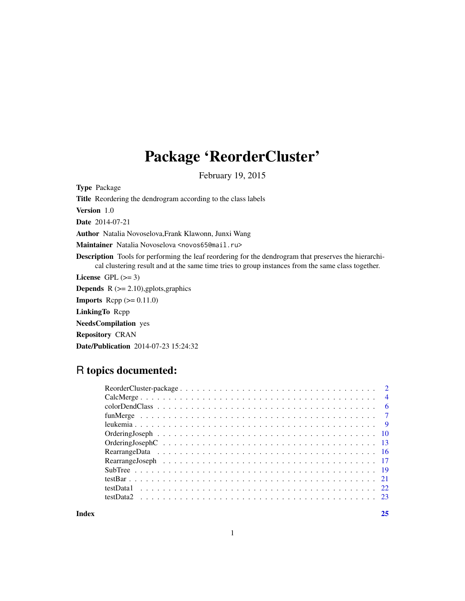# Package 'ReorderCluster'

February 19, 2015

Type Package

Title Reordering the dendrogram according to the class labels

Version 1.0

Date 2014-07-21

Author Natalia Novoselova,Frank Klawonn, Junxi Wang

Maintainer Natalia Novoselova <novos65@mail.ru>

Description Tools for performing the leaf reordering for the dendrogram that preserves the hierarchical clustering result and at the same time tries to group instances from the same class together.

License GPL  $(>= 3)$ 

**Depends**  $R$  ( $>= 2.10$ ), gplots, graphics

**Imports** Rcpp  $(>= 0.11.0)$ 

LinkingTo Rcpp

NeedsCompilation yes

Repository CRAN

Date/Publication 2014-07-23 15:24:32

# R topics documented:

| $\overline{4}$ |
|----------------|
| - 6            |
|                |
|                |
|                |
|                |
|                |
|                |
|                |
|                |
|                |
|                |
|                |

**Index** [25](#page-24-0)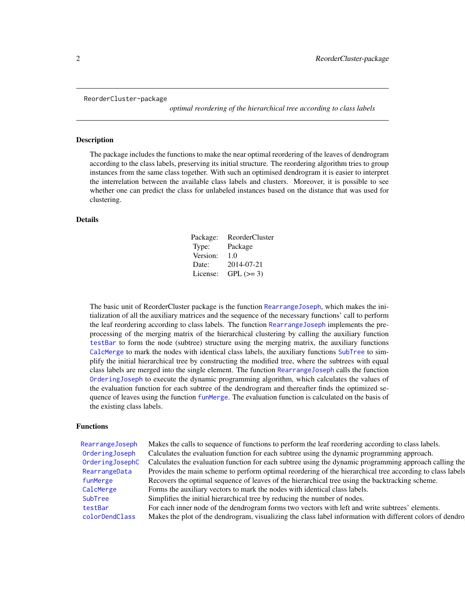<span id="page-1-0"></span>ReorderCluster-package

*optimal reordering of the hierarchical tree according to class labels*

# Description

The package includes the functions to make the near optimal reordering of the leaves of dendrogram according to the class labels, preserving its initial structure. The reordering algorithm tries to group instances from the same class together. With such an optimised dendrogram it is easier to interpret the interrelation between the available class labels and clusters. Moreover, it is possible to see whether one can predict the class for unlabeled instances based on the distance that was used for clustering.

#### Details

| Package: | <b>ReorderCluster</b> |
|----------|-----------------------|
| Type:    | Package               |
| Version: | 1.0                   |
| Date:    | 2014-07-21            |
| License: | $GPL (=3)$            |

The basic unit of ReorderCluster package is the function [RearrangeJoseph](#page-16-1), which makes the initialization of all the auxiliary matrices and the sequence of the necessary functions' call to perform the leaf reordering according to class labels. The function [RearrangeJoseph](#page-16-1) implements the preprocessing of the merging matrix of the hierarchical clustering by calling the auxiliary function [testBar](#page-20-1) to form the node (subtree) structure using the merging matrix, the auxiliary functions [CalcMerge](#page-3-1) to mark the nodes with identical class labels, the auxiliary functions [SubTree](#page-18-1) to simplify the initial hierarchical tree by constructing the modified tree, where the subtrees with equal class labels are merged into the single element. The function [RearrangeJoseph](#page-16-1) calls the function [OrderingJoseph](#page-9-1) to execute the dynamic programming algorithm, which calculates the values of the evaluation function for each subtree of the dendrogram and thereafter finds the optimized sequence of leaves using the function [funMerge](#page-6-1). The evaluation function is calculated on the basis of the existing class labels.

#### Functions

[RearrangeJoseph](#page-16-1) Makes the calls to sequence of functions to perform the leaf reordering according to class labels. [OrderingJoseph](#page-9-1) Calculates the evaluation function for each subtree using the dynamic programming approach. [OrderingJosephC](#page-12-1) Calculates the evaluation function for each subtree using the dynamic programming approach calling the [RearrangeData](#page-15-1) Provides the main scheme to perform optimal reordering of the hierarchical tree according to class labels [funMerge](#page-6-1) Recovers the optimal sequence of leaves of the hierarchical tree using the backtracking scheme. [CalcMerge](#page-3-1) Forms the auxiliary vectors to mark the nodes with identical class labels. [SubTree](#page-18-1) Simplifies the initial hierarchical tree by reducing the number of nodes. [testBar](#page-20-1) For each inner node of the dendrogram forms two vectors with left and write subtrees' elements. [colorDendClass](#page-5-1) Makes the plot of the dendrogram, visualizing the class label information with different colors of dendro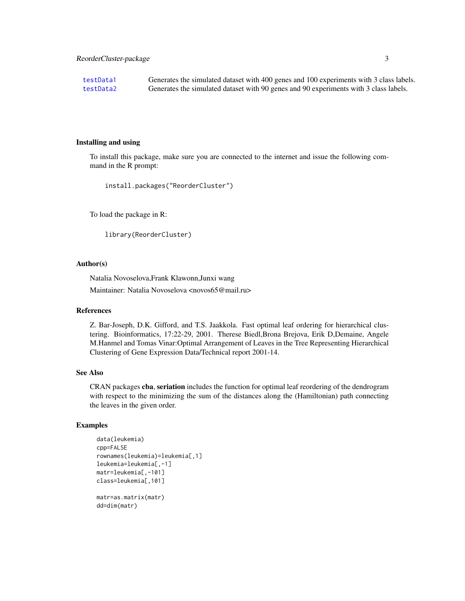<span id="page-2-0"></span>[testData1](#page-21-1) Generates the simulated dataset with 400 genes and 100 experiments with 3 class labels. [testData2](#page-22-1) Generates the simulated dataset with 90 genes and 90 experiments with 3 class labels.

#### Installing and using

To install this package, make sure you are connected to the internet and issue the following command in the R prompt:

```
install.packages("ReorderCluster")
```
To load the package in R:

```
library(ReorderCluster)
```
#### Author(s)

Natalia Novoselova,Frank Klawonn,Junxi wang

Maintainer: Natalia Novoselova <novos65@mail.ru>

#### References

Z. Bar-Joseph, D.K. Gifford, and T.S. Jaakkola. Fast optimal leaf ordering for hierarchical clustering. Bioinformatics, 17:22-29, 2001. Therese Biedl,Brona Brejova, Erik D,Demaine, Angele M.Hanmel and Tomas Vinar:Optimal Arrangement of Leaves in the Tree Representing Hierarchical Clustering of Gene Expression Data/Technical report 2001-14.

#### See Also

CRAN packages cba, seriation includes the function for optimal leaf reordering of the dendrogram with respect to the minimizing the sum of the distances along the (Hamiltonian) path connecting the leaves in the given order.

```
data(leukemia)
cpp=FALSE
rownames(leukemia)=leukemia[,1]
leukemia=leukemia[,-1]
matr=leukemia[,-101]
class=leukemia[,101]
matr=as.matrix(matr)
dd=dim(matr)
```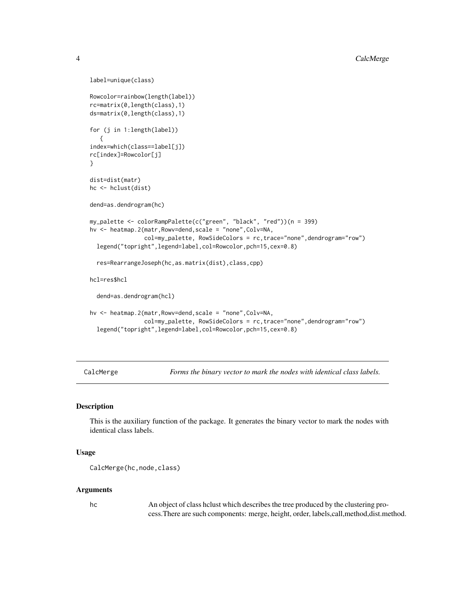```
label=unique(class)
Rowcolor=rainbow(length(label))
rc=matrix(0,length(class),1)
ds=matrix(0,length(class),1)
for (j in 1:length(label))
   {
index=which(class==label[j])
rc[index]=Rowcolor[j]
}
dist=dist(matr)
hc <- hclust(dist)
dend=as.dendrogram(hc)
my_palette <- colorRampPalette(c("green", "black", "red"))(n = 399)
hv <- heatmap.2(matr,Rowv=dend,scale = "none",Colv=NA,
                col=my_palette, RowSideColors = rc,trace="none",dendrogram="row")
 legend("topright",legend=label,col=Rowcolor,pch=15,cex=0.8)
 res=RearrangeJoseph(hc,as.matrix(dist),class,cpp)
hcl=res$hcl
 dend=as.dendrogram(hcl)
hv <- heatmap.2(matr,Rowv=dend,scale = "none",Colv=NA,
                col=my_palette, RowSideColors = rc,trace="none",dendrogram="row")
 legend("topright",legend=label,col=Rowcolor,pch=15,cex=0.8)
```
<span id="page-3-1"></span>CalcMerge *Forms the binary vector to mark the nodes with identical class labels.*

#### Description

This is the auxiliary function of the package. It generates the binary vector to mark the nodes with identical class labels.

# Usage

```
CalcMerge(hc,node,class)
```
#### Arguments

hc An object of class hclust which describes the tree produced by the clustering process.There are such components: merge, height, order, labels,call,method,dist.method.

<span id="page-3-0"></span>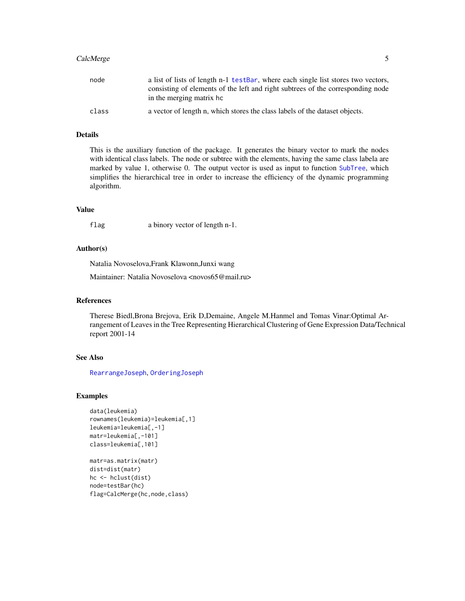# <span id="page-4-0"></span>CalcMerge 5

| node  | a list of lists of length n-1 testBar, where each single list stores two vectors,<br>consisting of elements of the left and right subtrees of the corresponding node<br>in the merging matrix hc |
|-------|--------------------------------------------------------------------------------------------------------------------------------------------------------------------------------------------------|
| class | a vector of length n, which stores the class labels of the dataset objects.                                                                                                                      |

# Details

This is the auxiliary function of the package. It generates the binary vector to mark the nodes with identical class labels. The node or subtree with the elements, having the same class labela are marked by value 1, otherwise 0. The output vector is used as input to function [SubTree](#page-18-1), which simplifies the hierarchical tree in order to increase the efficiency of the dynamic programming algorithm.

# Value

flag a binory vector of length n-1.

# Author(s)

Natalia Novoselova,Frank Klawonn,Junxi wang

Maintainer: Natalia Novoselova <novos65@mail.ru>

# References

Therese Biedl,Brona Brejova, Erik D,Demaine, Angele M.Hanmel and Tomas Vinar:Optimal Arrangement of Leaves in the Tree Representing Hierarchical Clustering of Gene Expression Data/Technical report 2001-14

# See Also

[RearrangeJoseph](#page-16-1), [OrderingJoseph](#page-9-1)

```
data(leukemia)
rownames(leukemia)=leukemia[,1]
leukemia=leukemia[,-1]
matr=leukemia[,-101]
class=leukemia[,101]
matr=as.matrix(matr)
dist=dist(matr)
```

```
hc <- hclust(dist)
node=testBar(hc)
flag=CalcMerge(hc,node,class)
```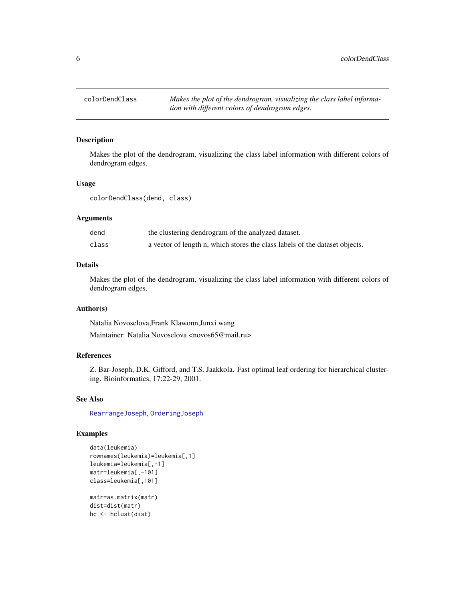<span id="page-5-1"></span><span id="page-5-0"></span>

#### Description

Makes the plot of the dendrogram, visualizing the class label information with different colors of dendrogram edges.

# Usage

colorDendClass(dend, class)

#### Arguments

| dend  | the clustering dendrogram of the analyzed dataset.                          |
|-------|-----------------------------------------------------------------------------|
| class | a vector of length n, which stores the class labels of the dataset objects. |

# Details

Makes the plot of the dendrogram, visualizing the class label information with different colors of dendrogram edges.

# Author(s)

Natalia Novoselova,Frank Klawonn,Junxi wang Maintainer: Natalia Novoselova <novos65@mail.ru>

# References

Z. Bar-Joseph, D.K. Gifford, and T.S. Jaakkola. Fast optimal leaf ordering for hierarchical clustering. Bioinformatics, 17:22-29, 2001.

# See Also

[RearrangeJoseph](#page-16-1), [OrderingJoseph](#page-9-1)

```
data(leukemia)
rownames(leukemia)=leukemia[,1]
leukemia=leukemia[,-1]
matr=leukemia[,-101]
class=leukemia[,101]
matr=as.matrix(matr)
dist=dist(matr)
hc <- hclust(dist)
```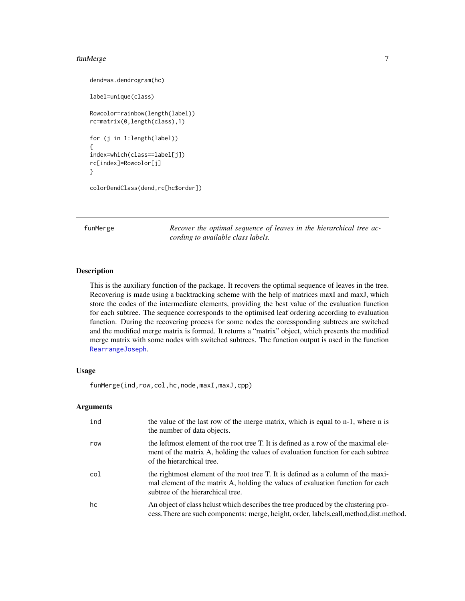#### <span id="page-6-0"></span>funMerge 7

```
dend=as.dendrogram(hc)
label=unique(class)
Rowcolor=rainbow(length(label))
rc=matrix(0,length(class),1)
for (j in 1:length(label))
{
index=which(class==label[j])
rc[index]=Rowcolor[j]
}
colorDendClass(dend,rc[hc$order])
```
<span id="page-6-1"></span>funMerge *Recover the optimal sequence of leaves in the hierarchical tree according to available class labels.*

# Description

This is the auxiliary function of the package. It recovers the optimal sequence of leaves in the tree. Recovering is made using a backtracking scheme with the help of matrices maxI and maxJ, which store the codes of the intermediate elements, providing the best value of the evaluation function for each subtree. The sequence corresponds to the optimised leaf ordering according to evaluation function. During the recovering process for some nodes the coressponding subtrees are switched and the modified merge matrix is formed. It returns a "matrix" object, which presents the modified merge matrix with some nodes with switched subtrees. The function output is used in the function [RearrangeJoseph](#page-16-1).

# Usage

funMerge(ind,row,col,hc,node,maxI,maxJ,cpp)

#### Arguments

| ind | the value of the last row of the merge matrix, which is equal to n-1, where n is<br>the number of data objects.                                                                                          |
|-----|----------------------------------------------------------------------------------------------------------------------------------------------------------------------------------------------------------|
| row | the leftmost element of the root tree T. It is defined as a row of the maximal ele-<br>ment of the matrix A, holding the values of evaluation function for each subtree<br>of the hierarchical tree.     |
| col | the rightmost element of the root tree T. It is defined as a column of the maxi-<br>mal element of the matrix A, holding the values of evaluation function for each<br>subtree of the hierarchical tree. |
| hc  | An object of class helust which describes the tree produced by the clustering pro-<br>cess. There are such components: merge, height, order, labels, call, method, dist. method.                         |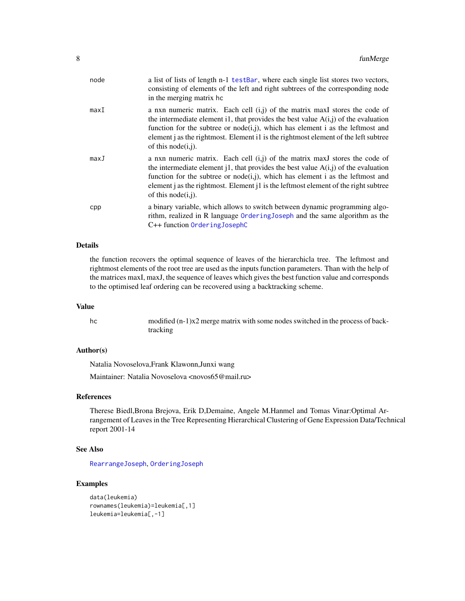<span id="page-7-0"></span>

| node | a list of lists of length n-1 testBar, where each single list stores two vectors,<br>consisting of elements of the left and right subtrees of the corresponding node<br>in the merging matrix hc                                                                                                                                                                           |
|------|----------------------------------------------------------------------------------------------------------------------------------------------------------------------------------------------------------------------------------------------------------------------------------------------------------------------------------------------------------------------------|
| maxI | a nxn numeric matrix. Each cell $(i,j)$ of the matrix maxI stores the code of<br>the intermediate element i1, that provides the best value $A(i,j)$ of the evaluation<br>function for the subtree or node(i,j), which has element i as the leftmost and<br>element j as the rightmost. Element i1 is the rightmost element of the left subtree<br>of this node $(i, j)$ .  |
| maxJ | a nxn numeric matrix. Each cell $(i, j)$ of the matrix maxJ stores the code of<br>the intermediate element j1, that provides the best value $A(i,j)$ of the evaluation<br>function for the subtree or node(i,j), which has element i as the leftmost and<br>element j as the rightmost. Element j1 is the leftmost element of the right subtree<br>of this node $(i, j)$ . |
| cpp  | a binary variable, which allows to switch between dynamic programming algo-<br>rithm, realized in R language Ordering Joseph and the same algorithm as the<br>C++ function OrderingJosephC                                                                                                                                                                                 |

# Details

the function recovers the optimal sequence of leaves of the hierarchicla tree. The leftmost and rightmost elements of the root tree are used as the inputs function parameters. Than with the help of the matrices maxI, maxJ, the sequence of leaves which gives the best function value and corresponds to the optimised leaf ordering can be recovered using a backtracking scheme.

#### Value

hc modified  $(n-1)x^2$  merge matrix with some nodes switched in the process of backtracking

#### Author(s)

Natalia Novoselova,Frank Klawonn,Junxi wang

Maintainer: Natalia Novoselova <novos65@mail.ru>

#### References

Therese Biedl,Brona Brejova, Erik D,Demaine, Angele M.Hanmel and Tomas Vinar:Optimal Arrangement of Leaves in the Tree Representing Hierarchical Clustering of Gene Expression Data/Technical report 2001-14

#### See Also

[RearrangeJoseph](#page-16-1), [OrderingJoseph](#page-9-1)

```
data(leukemia)
rownames(leukemia)=leukemia[,1]
leukemia=leukemia[,-1]
```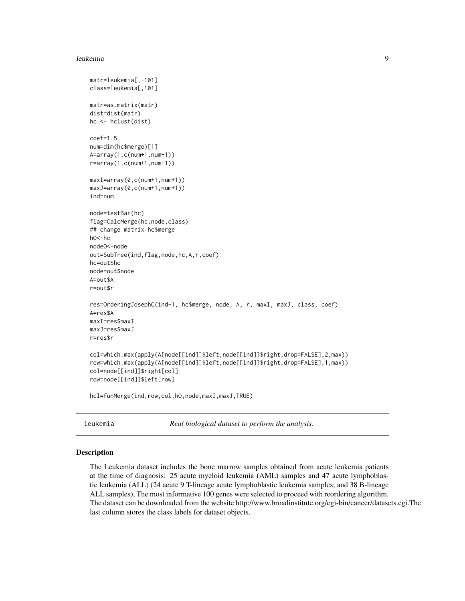#### <span id="page-8-0"></span>leukemia 9

```
matr=leukemia[,-101]
class=leukemia[,101]
matr=as.matrix(matr)
dist=dist(matr)
hc <- hclust(dist)
coef=1.5
num=dim(hc$merge)[1]
A=array(1,c(num+1,num+1))
r=array(1,c(num+1,num+1))
maxI=array(0,c(num+1,num+1))
maxJ=array(0,c(num+1,num+1))
ind=num
node=testBar(hc)
flag=CalcMerge(hc,node,class)
## change matrix hc$merge
hO<-hc
nodeO<-node
out=SubTree(ind,flag,node,hc,A,r,coef)
hc=out$hc
node=out$node
A=out$A
r=out$r
res=OrderingJosephC(ind-1, hc$merge, node, A, r, maxI, maxJ, class, coef)
A=res$A
maxI=res$maxI
maxJ=res$maxJ
r=res$r
col=which.max(apply(A[node[[ind]]$left,node[[ind]]$right,drop=FALSE],2,max))
row=which.max(apply(A[node[[ind]]$left,node[[ind]]$right,drop=FALSE],1,max))
col=node[[ind]]$right[col]
row=node[[ind]]$left[row]
hcl=funMerge(ind,row,col,hO,node,maxI,maxJ,TRUE)
```
leukemia *Real biological dataset to perform the analysis.*

#### Description

The Leukemia dataset includes the bone marrow samples obtained from acute leukemia patients at the time of diagnosis: 25 acute myeloid leukemia (AML) samples and 47 acute lymphoblastic leukemia (ALL) (24 acute 9 T-lineage acute lymphoblastic leukemia samples; and 38 B-lineage ALL samples), The most informative 100 genes were selected to proceed with reordering algorithm. The dataset can be downloaded from the website http://www.broadinstitute.org/cgi-bin/cancer/datasets.cgi.The last column stores the class labels for dataset objects.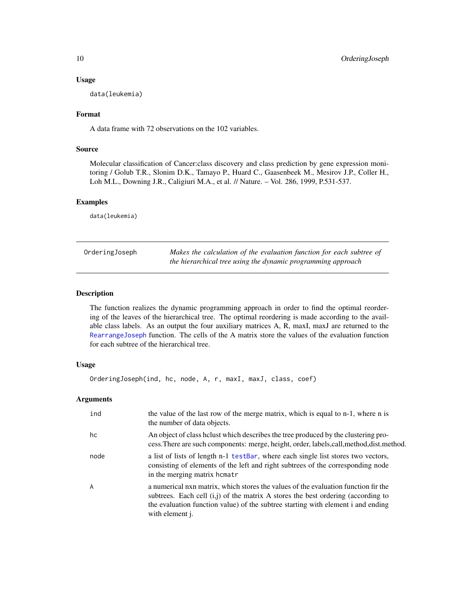#### Usage

data(leukemia)

# Format

A data frame with 72 observations on the 102 variables.

# Source

Molecular classification of Cancer:class discovery and class prediction by gene expression monitoring / Golub T.R., Slonim D.K., Tamayo P., Huard C., Gaasenbeek M., Mesirov J.P., Coller H., Loh M.L., Downing J.R., Caligiuri M.A., et al. // Nature. – Vol. 286, 1999, P.531-537.

#### Examples

data(leukemia)

<span id="page-9-1"></span>

| OrderingJoseph | Makes the calculation of the evaluation function for each subtree of |
|----------------|----------------------------------------------------------------------|
|                | the hierarchical tree using the dynamic programming approach         |

# Description

The function realizes the dynamic programming approach in order to find the optimal reordering of the leaves of the hierarchical tree. The optimal reordering is made according to the available class labels. As an output the four auxiliary matrices A, R, maxI, maxJ are returned to the [RearrangeJoseph](#page-16-1) function. The cells of the A matrix store the values of the evaluation function for each subtree of the hierarchical tree.

# Usage

OrderingJoseph(ind, hc, node, A, r, maxI, maxJ, class, coef)

#### Arguments

| ind  | the value of the last row of the merge matrix, which is equal to n-1, where n is<br>the number of data objects.                                                                                                                                                                         |
|------|-----------------------------------------------------------------------------------------------------------------------------------------------------------------------------------------------------------------------------------------------------------------------------------------|
| hc   | An object of class helust which describes the tree produced by the clustering pro-<br>cess. There are such components: merge, height, order, labels, call, method, dist. method.                                                                                                        |
| node | a list of lists of length n-1 testBar, where each single list stores two vectors,<br>consisting of elements of the left and right subtrees of the corresponding node<br>in the merging matrix homatr                                                                                    |
| A    | a numerical nxn matrix, which stores the values of the evaluation function fir the<br>subtrees. Each cell $(i,j)$ of the matrix A stores the best ordering (according to<br>the evaluation function value) of the subtree starting with element i and ending<br>with element <i>i</i> . |

<span id="page-9-0"></span>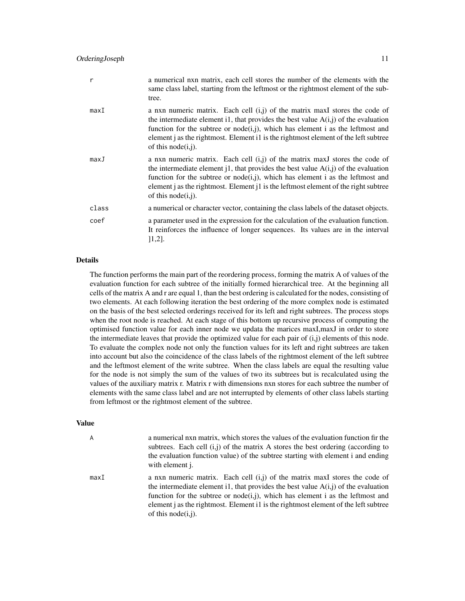| r     | a numerical nxn matrix, each cell stores the number of the elements with the<br>same class label, starting from the leftmost or the rightmost element of the sub-<br>tree.                                                                                                                                                                                                    |
|-------|-------------------------------------------------------------------------------------------------------------------------------------------------------------------------------------------------------------------------------------------------------------------------------------------------------------------------------------------------------------------------------|
| maxI  | a nxn numeric matrix. Each cell $(i, j)$ of the matrix maxI stores the code of<br>the intermediate element i1, that provides the best value $A(i,j)$ of the evaluation<br>function for the subtree or node $(i,j)$ , which has element i as the leftmost and<br>element j as the rightmost. Element i1 is the rightmost element of the left subtree<br>of this $node(i, j)$ . |
| maxJ  | a nxn numeric matrix. Each cell $(i,j)$ of the matrix maxI stores the code of<br>the intermediate element i1, that provides the best value $A(i,j)$ of the evaluation<br>function for the subtree or node $(i,j)$ , which has element i as the leftmost and<br>element j as the rightmost. Element j1 is the leftmost element of the right subtree<br>of this node $(i,j)$ .  |
| class | a numerical or character vector, containing the class labels of the dataset objects.                                                                                                                                                                                                                                                                                          |
| coef  | a parameter used in the expression for the calculation of the evaluation function.<br>It reinforces the influence of longer sequences. Its values are in the interval<br>$[1,2]$ .                                                                                                                                                                                            |

#### Details

The function performs the main part of the reordering process, forming the matrix A of values of the evaluation function for each subtree of the initially formed hierarchical tree. At the beginning all cells of the matrix A and r are equal 1, than the best ordering is calculated for the nodes, consisting of two elements. At each following iteration the best ordering of the more complex node is estimated on the basis of the best selected orderings received for its left and right subtrees. The process stops when the root node is reached. At each stage of this bottom up recursive process of computing the optimised function value for each inner node we updata the marices maxI,maxJ in order to store the intermediate leaves that provide the optimized value for each pair of  $(i,j)$  elements of this node. To evaluate the complex node not only the function values for its left and right subtrees are taken into account but also the coincidence of the class labels of the rightmost element of the left subtree and the leftmost element of the write subtree. When the class labels are equal the resulting value for the node is not simply the sum of the values of two its subtrees but is recalculated using the values of the auxiliary matrix r. Matrix r with dimensions nxn stores for each subtree the number of elements with the same class label and are not interrupted by elements of other class labels starting from leftmost or the rightmost element of the subtree.

#### Value

A a numerical nxn matrix, which stores the values of the evaluation function fir the subtrees. Each cell  $(i,j)$  of the matrix A stores the best ordering (according to the evaluation function value) of the subtree starting with element i and ending with element j.

maxI a nxn numeric matrix. Each cell  $(i,j)$  of the matrix maxI stores the code of the intermediate element i1, that provides the best value  $A(i,j)$  of the evaluation function for the subtree or node $(i,j)$ , which has element i as the leftmost and element j as the rightmost. Element i1 is the rightmost element of the left subtree of this node(i,j).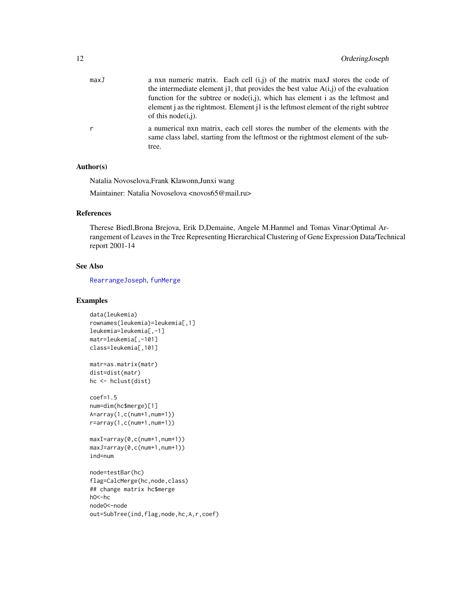<span id="page-11-0"></span>

| maxJ         | a nxn numeric matrix. Each cell $(i,j)$ of the matrix maxJ stores the code of                                                                                              |
|--------------|----------------------------------------------------------------------------------------------------------------------------------------------------------------------------|
|              | the intermediate element i1, that provides the best value $A(i,j)$ of the evaluation                                                                                       |
|              | function for the subtree or node(i,j), which has element i as the leftmost and                                                                                             |
|              | element j as the rightmost. Element j1 is the leftmost element of the right subtree<br>of this node(i,j).                                                                  |
| $\mathsf{r}$ | a numerical nxn matrix, each cell stores the number of the elements with the<br>same class label, starting from the leftmost or the rightmost element of the sub-<br>tree. |

# Author(s)

Natalia Novoselova,Frank Klawonn,Junxi wang

Maintainer: Natalia Novoselova <novos65@mail.ru>

# References

Therese Biedl,Brona Brejova, Erik D,Demaine, Angele M.Hanmel and Tomas Vinar:Optimal Arrangement of Leaves in the Tree Representing Hierarchical Clustering of Gene Expression Data/Technical report 2001-14

# See Also

[RearrangeJoseph](#page-16-1), [funMerge](#page-6-1)

```
data(leukemia)
rownames(leukemia)=leukemia[,1]
leukemia=leukemia[,-1]
matr=leukemia[,-101]
class=leukemia[,101]
matr=as.matrix(matr)
dist=dist(matr)
hc <- hclust(dist)
coef=1.5
num=dim(hc$merge)[1]
A=array(1,c(num+1,num+1))
r=array(1,c(num+1,num+1))
maxI=array(0,c(num+1,num+1))
maxJ=array(0,c(num+1,num+1))
ind=num
node=testBar(hc)
flag=CalcMerge(hc,node,class)
## change matrix hc$merge
hO<-hc
nodeO<-node
out=SubTree(ind,flag,node,hc,A,r,coef)
```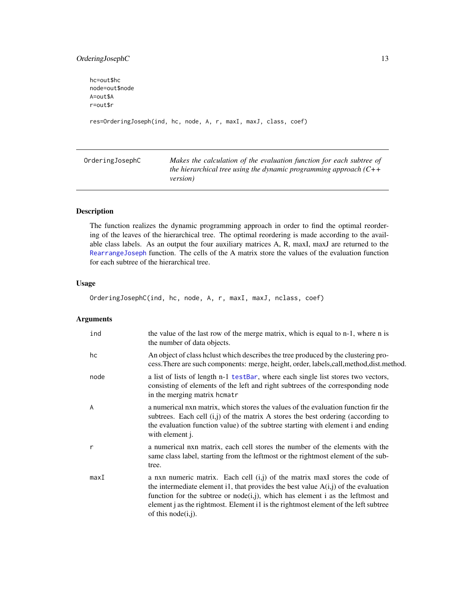# <span id="page-12-0"></span>OrderingJosephC 13

hc=out\$hc node=out\$node A=out\$A r=out\$r res=OrderingJoseph(ind, hc, node, A, r, maxI, maxJ, class, coef)

<span id="page-12-1"></span>OrderingJosephC *Makes the calculation of the evaluation function for each subtree of the hierarchical tree using the dynamic programming approach (C++ version)*

# Description

The function realizes the dynamic programming approach in order to find the optimal reordering of the leaves of the hierarchical tree. The optimal reordering is made according to the available class labels. As an output the four auxiliary matrices A, R, maxI, maxJ are returned to the [RearrangeJoseph](#page-16-1) function. The cells of the A matrix store the values of the evaluation function for each subtree of the hierarchical tree.

# Usage

```
OrderingJosephC(ind, hc, node, A, r, maxI, maxJ, nclass, coef)
```
# Arguments

| ind            | the value of the last row of the merge matrix, which is equal to n-1, where n is<br>the number of data objects.                                                                                                                                                                                                                                                              |
|----------------|------------------------------------------------------------------------------------------------------------------------------------------------------------------------------------------------------------------------------------------------------------------------------------------------------------------------------------------------------------------------------|
| hc             | An object of class helust which describes the tree produced by the clustering pro-<br>cess. There are such components: merge, height, order, labels, call, method, dist. method.                                                                                                                                                                                             |
| node           | a list of lists of length n-1 testBar, where each single list stores two vectors,<br>consisting of elements of the left and right subtrees of the corresponding node<br>in the merging matrix homatr                                                                                                                                                                         |
| $\overline{A}$ | a numerical nxn matrix, which stores the values of the evaluation function fir the<br>subtrees. Each cell $(i, j)$ of the matrix A stores the best ordering (according to<br>the evaluation function value) of the subtree starting with element i and ending<br>with element j.                                                                                             |
| $\mathsf{r}$   | a numerical nxn matrix, each cell stores the number of the elements with the<br>same class label, starting from the leftmost or the rightmost element of the sub-<br>tree.                                                                                                                                                                                                   |
| maxI           | a nxn numeric matrix. Each cell $(i,j)$ of the matrix maxI stores the code of<br>the intermediate element i1, that provides the best value $A(i,j)$ of the evaluation<br>function for the subtree or node $(i,j)$ , which has element i as the leftmost and<br>element j as the rightmost. Element i1 is the rightmost element of the left subtree<br>of this node $(i,j)$ . |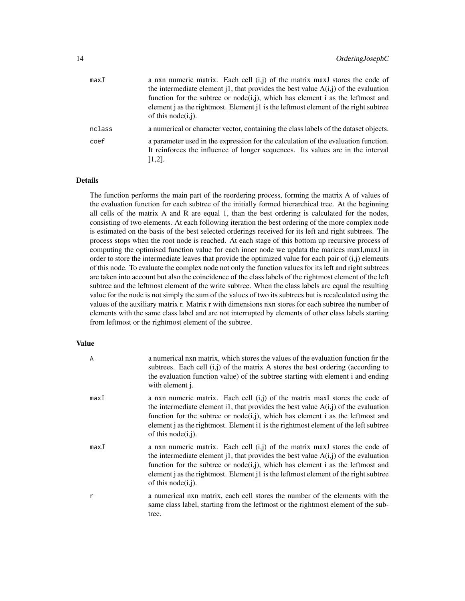| maxJ   | a nxn numeric matrix. Each cell $(i,j)$ of the matrix maxI stores the code of                                                                                                      |
|--------|------------------------------------------------------------------------------------------------------------------------------------------------------------------------------------|
|        | the intermediate element j1, that provides the best value $A(i,j)$ of the evaluation                                                                                               |
|        | function for the subtree or node(i,j), which has element i as the leftmost and                                                                                                     |
|        | element j as the rightmost. Element j1 is the leftmost element of the right subtree<br>of this node(i,j).                                                                          |
| nclass | a numerical or character vector, containing the class labels of the dataset objects.                                                                                               |
| coef   | a parameter used in the expression for the calculation of the evaluation function.<br>It reinforces the influence of longer sequences. Its values are in the interval<br>$[1,2]$ . |

# Details

The function performs the main part of the reordering process, forming the matrix A of values of the evaluation function for each subtree of the initially formed hierarchical tree. At the beginning all cells of the matrix A and R are equal 1, than the best ordering is calculated for the nodes, consisting of two elements. At each following iteration the best ordering of the more complex node is estimated on the basis of the best selected orderings received for its left and right subtrees. The process stops when the root node is reached. At each stage of this bottom up recursive process of computing the optimised function value for each inner node we updata the marices maxI,maxJ in order to store the intermediate leaves that provide the optimized value for each pair of (i,j) elements of this node. To evaluate the complex node not only the function values for its left and right subtrees are taken into account but also the coincidence of the class labels of the rightmost element of the left subtree and the leftmost element of the write subtree. When the class labels are equal the resulting value for the node is not simply the sum of the values of two its subtrees but is recalculated using the values of the auxiliary matrix r. Matrix r with dimensions nxn stores for each subtree the number of elements with the same class label and are not interrupted by elements of other class labels starting from leftmost or the rightmost element of the subtree.

# Value

| A    | a numerical nxn matrix, which stores the values of the evaluation function fir the<br>subtrees. Each cell $(i, j)$ of the matrix A stores the best ordering (according to<br>the evaluation function value) of the subtree starting with element i and ending<br>with element j.                                                                                             |
|------|------------------------------------------------------------------------------------------------------------------------------------------------------------------------------------------------------------------------------------------------------------------------------------------------------------------------------------------------------------------------------|
| maxI | a nxn numeric matrix. Each cell $(i,j)$ of the matrix maxI stores the code of<br>the intermediate element i1, that provides the best value $A(i,j)$ of the evaluation<br>function for the subtree or node(i,j), which has element i as the leftmost and<br>element j as the rightmost. Element i1 is the rightmost element of the left subtree<br>of this node( $i$ , $j$ ). |
| maxJ | a nxn numeric matrix. Each cell $(i,j)$ of the matrix maxI stores the code of<br>the intermediate element i1, that provides the best value $A(i,j)$ of the evaluation<br>function for the subtree or node(i,j), which has element i as the leftmost and<br>element j as the rightmost. Element j1 is the leftmost element of the right subtree<br>of this node $(i,j)$ .     |
| r    | a numerical nxn matrix, each cell stores the number of the elements with the<br>same class label, starting from the leftmost or the rightmost element of the sub-<br>tree.                                                                                                                                                                                                   |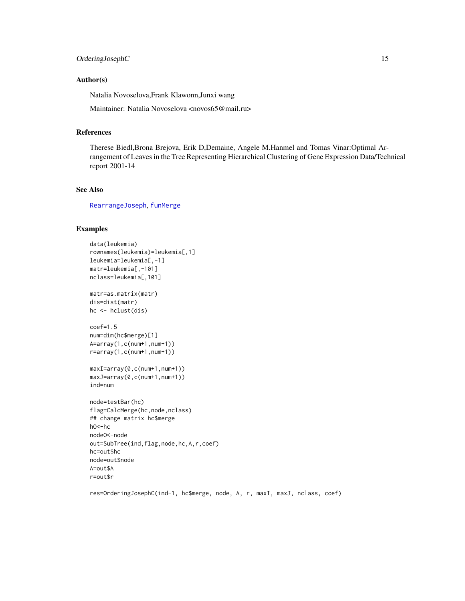# <span id="page-14-0"></span>OrderingJosephC 15

# Author(s)

Natalia Novoselova,Frank Klawonn,Junxi wang

Maintainer: Natalia Novoselova <novos65@mail.ru>

#### References

Therese Biedl,Brona Brejova, Erik D,Demaine, Angele M.Hanmel and Tomas Vinar:Optimal Arrangement of Leaves in the Tree Representing Hierarchical Clustering of Gene Expression Data/Technical report 2001-14

# See Also

[RearrangeJoseph](#page-16-1), [funMerge](#page-6-1)

# Examples

```
data(leukemia)
rownames(leukemia)=leukemia[,1]
leukemia=leukemia[,-1]
matr=leukemia[,-101]
nclass=leukemia[,101]
matr=as.matrix(matr)
dis=dist(matr)
hc <- hclust(dis)
coef=1.5
num=dim(hc$merge)[1]
A=array(1,c(num+1,num+1))
r=array(1,c(num+1,num+1))
maxI=array(0,c(num+1,num+1))
maxJ=array(0,c(num+1,num+1))
ind=num
node=testBar(hc)
flag=CalcMerge(hc,node,nclass)
## change matrix hc$merge
hO<-hc
nodeO<-node
out=SubTree(ind,flag,node,hc,A,r,coef)
hc=out$hc
node=out$node
A=out$A
r=out$r
```
res=OrderingJosephC(ind-1, hc\$merge, node, A, r, maxI, maxJ, nclass, coef)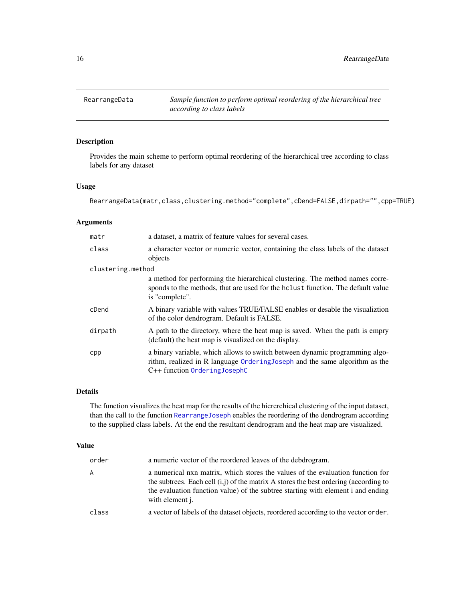<span id="page-15-1"></span><span id="page-15-0"></span>

# Description

Provides the main scheme to perform optimal reordering of the hierarchical tree according to class labels for any dataset

#### Usage

RearrangeData(matr,class,clustering.method="complete",cDend=FALSE,dirpath="",cpp=TRUE)

# Arguments

| matr              | a dataset, a matrix of feature values for several cases.                                                                                                                                    |  |
|-------------------|---------------------------------------------------------------------------------------------------------------------------------------------------------------------------------------------|--|
| class             | a character vector or numeric vector, containing the class labels of the dataset<br>objects                                                                                                 |  |
| clustering.method |                                                                                                                                                                                             |  |
|                   | a method for performing the hierarchical clustering. The method names corre-<br>sponds to the methods, that are used for the holiest function. The default value<br>is "complete".          |  |
| cDend             | A binary variable with values TRUE/FALSE enables or desable the visualizion<br>of the color dendrogram. Default is FALSE.                                                                   |  |
| dirpath           | A path to the directory, where the heat map is saved. When the path is empry<br>(default) the heat map is visualized on the display.                                                        |  |
| cpp               | a binary variable, which allows to switch between dynamic programming algo-<br>rithm, realized in R language Ordering Joseph and the same algorithm as the<br>C++ function Ordering JosephC |  |

## Details

The function visualizes the heat map for the results of the hiererchical clustering of the input dataset, than the call to the function [RearrangeJoseph](#page-16-1) enables the reordering of the dendrogram according to the supplied class labels. At the end the resultant dendrogram and the heat map are visualized.

#### Value

| order | a numeric vector of the reordered leaves of the debdrogram.                                                                                                                                                                                                                              |
|-------|------------------------------------------------------------------------------------------------------------------------------------------------------------------------------------------------------------------------------------------------------------------------------------------|
| A     | a numerical nxn matrix, which stores the values of the evaluation function for<br>the subtrees. Each cell $(i, j)$ of the matrix A stores the best ordering (according to<br>the evaluation function value) of the subtree starting with element i and ending<br>with element <i>i</i> . |
| class | a vector of labels of the dataset objects, reordered according to the vector order.                                                                                                                                                                                                      |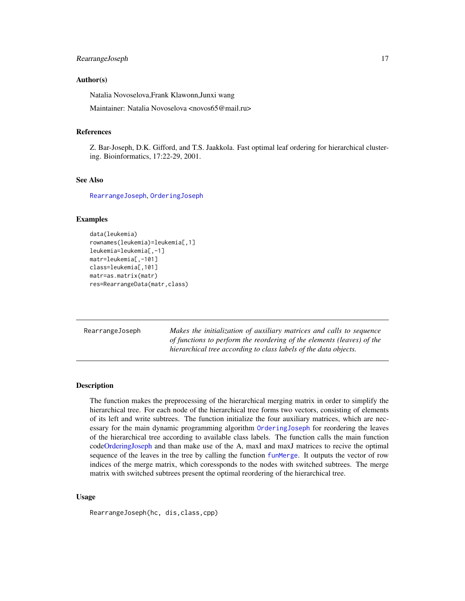# <span id="page-16-0"></span>RearrangeJoseph 17

#### Author(s)

Natalia Novoselova,Frank Klawonn,Junxi wang

Maintainer: Natalia Novoselova <novos65@mail.ru>

# References

Z. Bar-Joseph, D.K. Gifford, and T.S. Jaakkola. Fast optimal leaf ordering for hierarchical clustering. Bioinformatics, 17:22-29, 2001.

## See Also

[RearrangeJoseph](#page-16-1), [OrderingJoseph](#page-9-1)

# Examples

```
data(leukemia)
rownames(leukemia)=leukemia[,1]
leukemia=leukemia[,-1]
matr=leukemia[,-101]
class=leukemia[,101]
matr=as.matrix(matr)
res=RearrangeData(matr,class)
```
<span id="page-16-1"></span>

| RearrangeJoseph | Makes the initialization of auxiliary matrices and calls to sequence   |
|-----------------|------------------------------------------------------------------------|
|                 | of functions to perform the reordering of the elements (leaves) of the |
|                 | hierarchical tree according to class labels of the data objects.       |

#### Description

The function makes the preprocessing of the hierarchical merging matrix in order to simplify the hierarchical tree. For each node of the hierarchical tree forms two vectors, consisting of elements of its left and write subtrees. The function initialize the four auxiliary matrices, which are necessary for the main dynamic programming algorithm [OrderingJoseph](#page-9-1) for reordering the leaves of the hierarchical tree according to available class labels. The function calls the main function cod[eOrderingJoseph](#page-9-1) and than make use of the A, maxI and maxJ matrices to recive the optimal sequence of the leaves in the tree by calling the function [funMerge](#page-6-1). It outputs the vector of row indices of the merge matrix, which coressponds to the nodes with switched subtrees. The merge matrix with switched subtrees present the optimal reordering of the hierarchical tree.

#### Usage

RearrangeJoseph(hc, dis,class,cpp)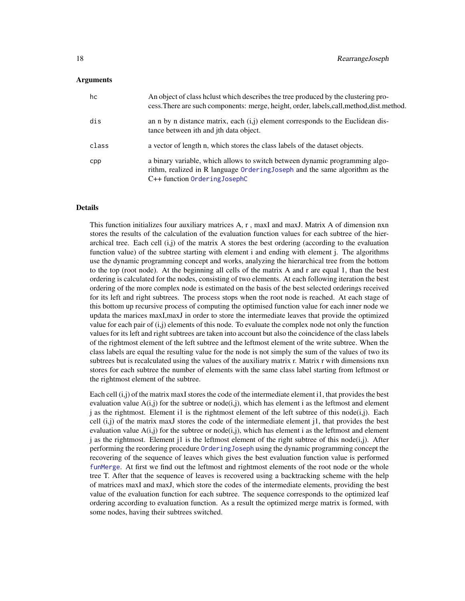#### <span id="page-17-0"></span>Arguments

| hc    | An object of class helust which describes the tree produced by the clustering pro-<br>cess. There are such components: merge, height, order, labels, call, method, dist. method.            |
|-------|---------------------------------------------------------------------------------------------------------------------------------------------------------------------------------------------|
| dis   | an n by n distance matrix, each $(i,j)$ element corresponds to the Euclidean dis-<br>tance between ith and jth data object.                                                                 |
| class | a vector of length n, which stores the class labels of the dataset objects.                                                                                                                 |
| cpp   | a binary variable, which allows to switch between dynamic programming algo-<br>rithm, realized in R language Ordering Joseph and the same algorithm as the<br>C++ function Ordering JosephC |

#### Details

This function initializes four auxiliary matrices A, r , maxI and maxJ. Matrix A of dimension nxn stores the results of the calculation of the evaluation function values for each subtree of the hierarchical tree. Each cell  $(i, j)$  of the matrix A stores the best ordering (according to the evaluation function value) of the subtree starting with element i and ending with element j. The algorithms use the dynamic programming concept and works, analyzing the hierarchical tree from the bottom to the top (root node). At the beginning all cells of the matrix A and r are equal 1, than the best ordering is calculated for the nodes, consisting of two elements. At each following iteration the best ordering of the more complex node is estimated on the basis of the best selected orderings received for its left and right subtrees. The process stops when the root node is reached. At each stage of this bottom up recursive process of computing the optimised function value for each inner node we updata the marices maxI,maxJ in order to store the intermediate leaves that provide the optimized value for each pair of (i,j) elements of this node. To evaluate the complex node not only the function values for its left and right subtrees are taken into account but also the coincidence of the class labels of the rightmost element of the left subtree and the leftmost element of the write subtree. When the class labels are equal the resulting value for the node is not simply the sum of the values of two its subtrees but is recalculated using the values of the auxiliary matrix r. Matrix r with dimensions nxn stores for each subtree the number of elements with the same class label starting from leftmost or the rightmost element of the subtree.

Each cell (i,j) of the matrix maxI stores the code of the intermediate element i1, that provides the best evaluation value  $A(i,j)$  for the subtree or node $(i,j)$ , which has element i as the leftmost and element  $\mathbf{j}$  as the rightmost. Element i1 is the rightmost element of the left subtree of this node(i,j). Each cell  $(i,j)$  of the matrix maxJ stores the code of the intermediate element j1, that provides the best evaluation value  $A(i,j)$  for the subtree or node $(i,j)$ , which has element i as the leftmost and element j as the rightmost. Element j1 is the leftmost element of the right subtree of this node $(i,j)$ . After performing the reordering procedure [OrderingJoseph](#page-9-1) using the dynamic programming concept the recovering of the sequence of leaves which gives the best evaluation function value is performed [funMerge](#page-6-1). At first we find out the leftmost and rightmost elements of the root node or the whole tree T. After that the sequence of leaves is recovered using a backtracking scheme with the help of matrices maxI and maxJ, which store the codes of the intermediate elements, providing the best value of the evaluation function for each subtree. The sequence corresponds to the optimized leaf ordering according to evaluation function. As a result the optimized merge matrix is formed, with some nodes, having their subtrees switched.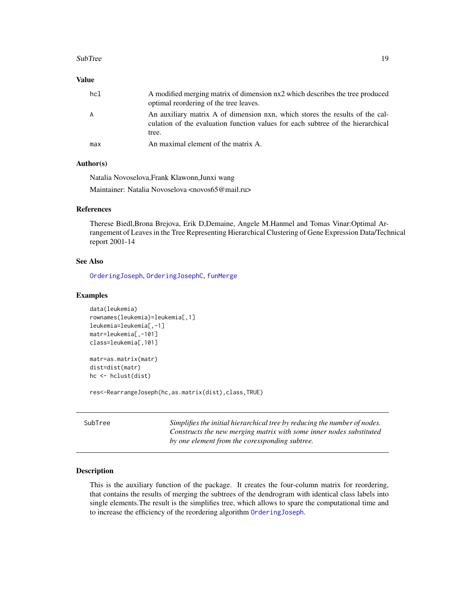#### <span id="page-18-0"></span>SubTree 2012 2013 2014 19:30:00 19:30:00 19:30:00 19:30:00 19:30:00 19:30:00 19:30:00 19:30:00 19:30:00 19:30:00 19:30:00 19:30:00 19:30:00 19:30:00 19:30:00 19:30:00 19:30:00 19:30:00 19:30:00 19:30:00 19:30:00 19:30:00 1

# Value

| hc1 | A modified merging matrix of dimension nx2 which describes the tree produced<br>optimal reordering of the tree leaves.                                                   |
|-----|--------------------------------------------------------------------------------------------------------------------------------------------------------------------------|
| A   | An auxiliary matrix A of dimension nxn, which stores the results of the cal-<br>culation of the evaluation function values for each subtree of the hierarchical<br>tree. |
| max | An maximal element of the matrix A.                                                                                                                                      |

# Author(s)

Natalia Novoselova,Frank Klawonn,Junxi wang Maintainer: Natalia Novoselova <novos65@mail.ru>

# References

Therese Biedl,Brona Brejova, Erik D,Demaine, Angele M.Hanmel and Tomas Vinar:Optimal Arrangement of Leaves in the Tree Representing Hierarchical Clustering of Gene Expression Data/Technical report 2001-14

# See Also

[OrderingJoseph](#page-9-1), [OrderingJosephC](#page-12-1), [funMerge](#page-6-1)

#### Examples

```
data(leukemia)
rownames(leukemia)=leukemia[,1]
leukemia=leukemia[,-1]
matr=leukemia[,-101]
class=leukemia[,101]
```

```
matr=as.matrix(matr)
dist=dist(matr)
hc <- hclust(dist)
```
res<-RearrangeJoseph(hc,as.matrix(dist),class,TRUE)

<span id="page-18-1"></span>

|  | SubTree |
|--|---------|
|  |         |

Simplifies the initial hierarchical tree by reducing the number of nodes. *Constructs the new merging matrix with some inner nodes substituted by one element from the coressponding subtree.*

#### Description

This is the auxiliary function of the package. It creates the four-column matrix for reordering, that contains the results of merging the subtrees of the dendrogram with identical class labels into single elements.The result is the simplifies tree, which allows to spare the computational time and to increase the efficiency of the reordering algorithm [OrderingJoseph](#page-9-1).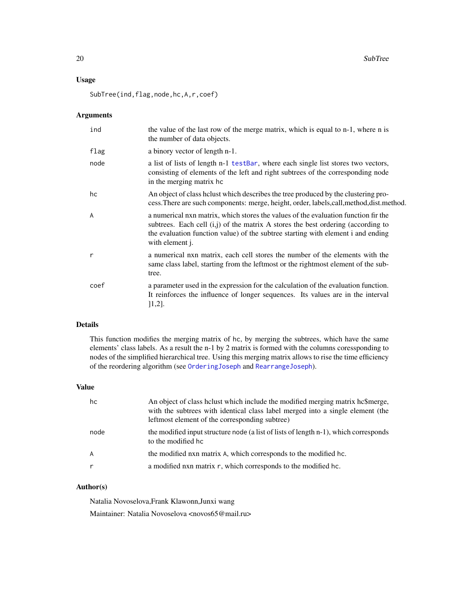# <span id="page-19-0"></span>Usage

SubTree(ind,flag,node,hc,A,r,coef)

# Arguments

| ind            | the value of the last row of the merge matrix, which is equal to n-1, where n is<br>the number of data objects.                                                                                                                                                                 |
|----------------|---------------------------------------------------------------------------------------------------------------------------------------------------------------------------------------------------------------------------------------------------------------------------------|
| flag           | a binory vector of length n-1.                                                                                                                                                                                                                                                  |
| node           | a list of lists of length n-1 testBar, where each single list stores two vectors,<br>consisting of elements of the left and right subtrees of the corresponding node<br>in the merging matrix hc                                                                                |
| hc             | An object of class helust which describes the tree produced by the clustering pro-<br>cess. There are such components: merge, height, order, labels, call, method, dist. method.                                                                                                |
| $\overline{A}$ | a numerical nxn matrix, which stores the values of the evaluation function fir the<br>subtrees. Each cell $(i,j)$ of the matrix A stores the best ordering (according to<br>the evaluation function value) of the subtree starting with element i and ending<br>with element j. |
| $\mathsf{r}$   | a numerical nxn matrix, each cell stores the number of the elements with the<br>same class label, starting from the leftmost or the rightmost element of the sub-<br>tree.                                                                                                      |
| coef           | a parameter used in the expression for the calculation of the evaluation function.<br>It reinforces the influence of longer sequences. Its values are in the interval<br>$[1,2]$ .                                                                                              |

#### Details

This function modifies the merging matrix of hc, by merging the subtrees, which have the same elements' class labels. As a result the n-1 by 2 matrix is formed with the columns coressponding to nodes of the simplified hierarchical tree. Using this merging matrix allows to rise the time efficiency of the reordering algorithm (see [OrderingJoseph](#page-9-1) and [RearrangeJoseph](#page-16-1)).

#### Value

| hc   | An object of class helust which include the modified merging matrix he\$merge,<br>with the subtrees with identical class label merged into a single element (the<br>leftmost element of the corresponding subtree) |
|------|--------------------------------------------------------------------------------------------------------------------------------------------------------------------------------------------------------------------|
| node | the modified input structure node (a list of lists of length n-1), which corresponds<br>to the modified hc                                                                                                         |
| A    | the modified nxn matrix A, which corresponds to the modified hc.                                                                                                                                                   |
|      | a modified nxn matrix r, which corresponds to the modified hc.                                                                                                                                                     |

# Author(s)

Natalia Novoselova,Frank Klawonn,Junxi wang

Maintainer: Natalia Novoselova <novos65@mail.ru>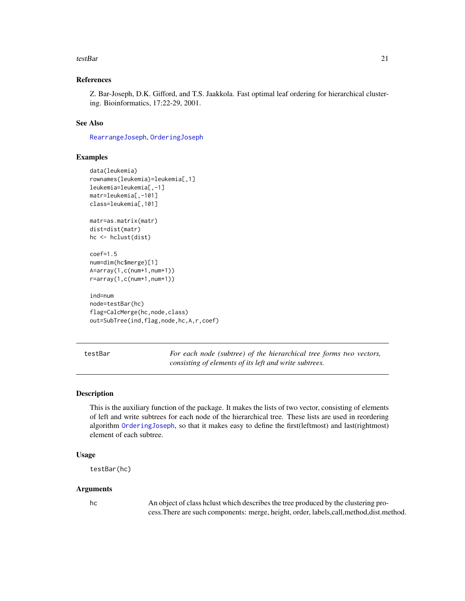#### <span id="page-20-0"></span>testBar 21

# References

Z. Bar-Joseph, D.K. Gifford, and T.S. Jaakkola. Fast optimal leaf ordering for hierarchical clustering. Bioinformatics, 17:22-29, 2001.

#### See Also

[RearrangeJoseph](#page-16-1), [OrderingJoseph](#page-9-1)

# Examples

```
data(leukemia)
rownames(leukemia)=leukemia[,1]
leukemia=leukemia[,-1]
matr=leukemia[,-101]
class=leukemia[,101]
matr=as.matrix(matr)
dist=dist(matr)
hc <- hclust(dist)
coef=1.5
num=dim(hc$merge)[1]
A=array(1,c(num+1,num+1))
r=array(1,c(num+1,num+1))
ind=num
node=testBar(hc)
flag=CalcMerge(hc,node,class)
out=SubTree(ind,flag,node,hc,A,r,coef)
```
<span id="page-20-1"></span>testBar *For each node (subtree) of the hierarchical tree forms two vectors, consisting of elements of its left and write subtrees.*

#### Description

This is the auxiliary function of the package. It makes the lists of two vector, consisting of elements of left and write subtrees for each node of the hierarchical tree. These lists are used in reordering algorithm [OrderingJoseph](#page-9-1), so that it makes easy to define the first(leftmost) and last(rightmost) element of each subtree.

# Usage

```
testBar(hc)
```
#### Arguments

hc An object of class hclust which describes the tree produced by the clustering process.There are such components: merge, height, order, labels,call,method,dist.method.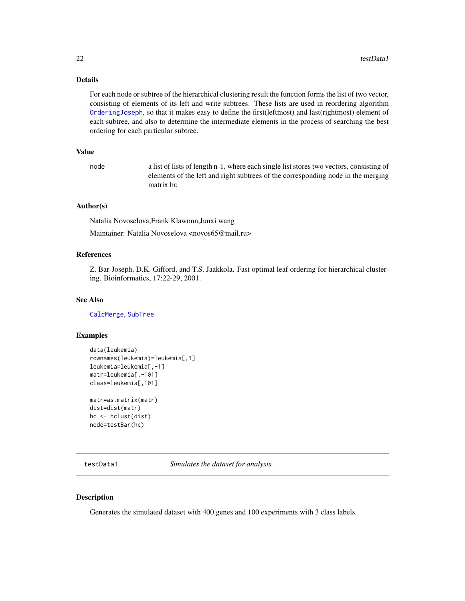# <span id="page-21-0"></span>Details

For each node or subtree of the hierarchical clustering result the function forms the list of two vector, consisting of elements of its left and write subtrees. These lists are used in reordering algorithm [OrderingJoseph](#page-9-1), so that it makes easy to define the first(leftmost) and last(rightmost) element of each subtree, and also to determine the intermediate elements in the process of searching the best ordering for each particular subtree.

#### Value

node a list of lists of length n-1, where each single list stores two vectors, consisting of elements of the left and right subtrees of the corresponding node in the merging matrix hc

# Author(s)

Natalia Novoselova,Frank Klawonn,Junxi wang

Maintainer: Natalia Novoselova <novos65@mail.ru>

# References

Z. Bar-Joseph, D.K. Gifford, and T.S. Jaakkola. Fast optimal leaf ordering for hierarchical clustering. Bioinformatics, 17:22-29, 2001.

#### See Also

[CalcMerge](#page-3-1), [SubTree](#page-18-1)

#### Examples

```
data(leukemia)
rownames(leukemia)=leukemia[,1]
leukemia=leukemia[,-1]
matr=leukemia[,-101]
class=leukemia[,101]
matr=as.matrix(matr)
dist=dist(matr)
```
hc <- hclust(dist) node=testBar(hc)

<span id="page-21-1"></span>testData1 *Simulates the dataset for analysis.*

# Description

Generates the simulated dataset with 400 genes and 100 experiments with 3 class labels.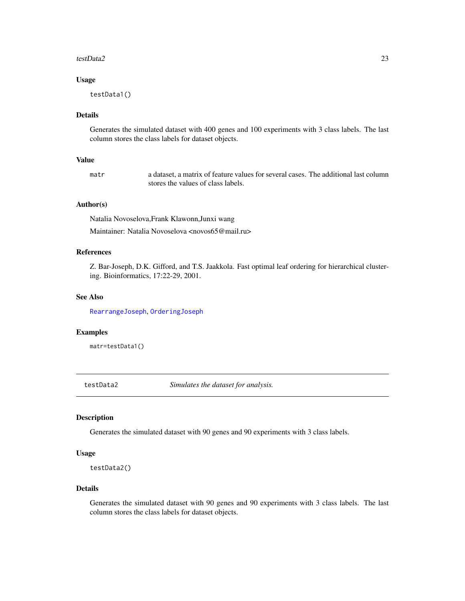#### <span id="page-22-0"></span>testData2 23

#### Usage

testData1()

# Details

Generates the simulated dataset with 400 genes and 100 experiments with 3 class labels. The last column stores the class labels for dataset objects.

# Value

matr a dataset, a matrix of feature values for several cases. The additional last column stores the values of class labels.

# Author(s)

Natalia Novoselova,Frank Klawonn,Junxi wang

Maintainer: Natalia Novoselova <novos65@mail.ru>

#### References

Z. Bar-Joseph, D.K. Gifford, and T.S. Jaakkola. Fast optimal leaf ordering for hierarchical clustering. Bioinformatics, 17:22-29, 2001.

# See Also

[RearrangeJoseph](#page-16-1), [OrderingJoseph](#page-9-1)

#### Examples

matr=testData1()

<span id="page-22-1"></span>testData2 *Simulates the dataset for analysis.*

# Description

Generates the simulated dataset with 90 genes and 90 experiments with 3 class labels.

#### Usage

```
testData2()
```
# Details

Generates the simulated dataset with 90 genes and 90 experiments with 3 class labels. The last column stores the class labels for dataset objects.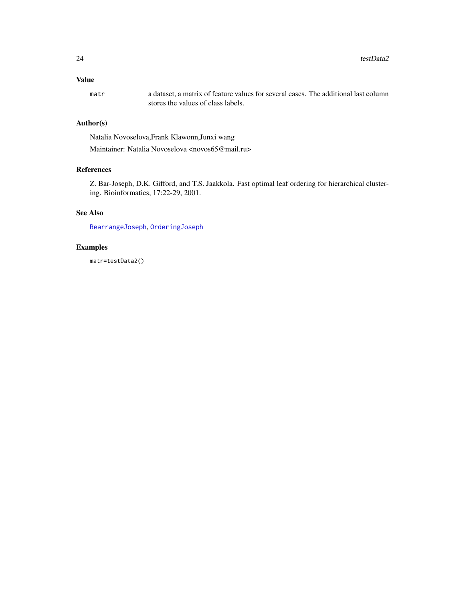# <span id="page-23-0"></span>Value

matr a dataset, a matrix of feature values for several cases. The additional last column stores the values of class labels.

# Author(s)

Natalia Novoselova,Frank Klawonn,Junxi wang

Maintainer: Natalia Novoselova <novos65@mail.ru>

# References

Z. Bar-Joseph, D.K. Gifford, and T.S. Jaakkola. Fast optimal leaf ordering for hierarchical clustering. Bioinformatics, 17:22-29, 2001.

# See Also

[RearrangeJoseph](#page-16-1), [OrderingJoseph](#page-9-1)

# Examples

matr=testData2()